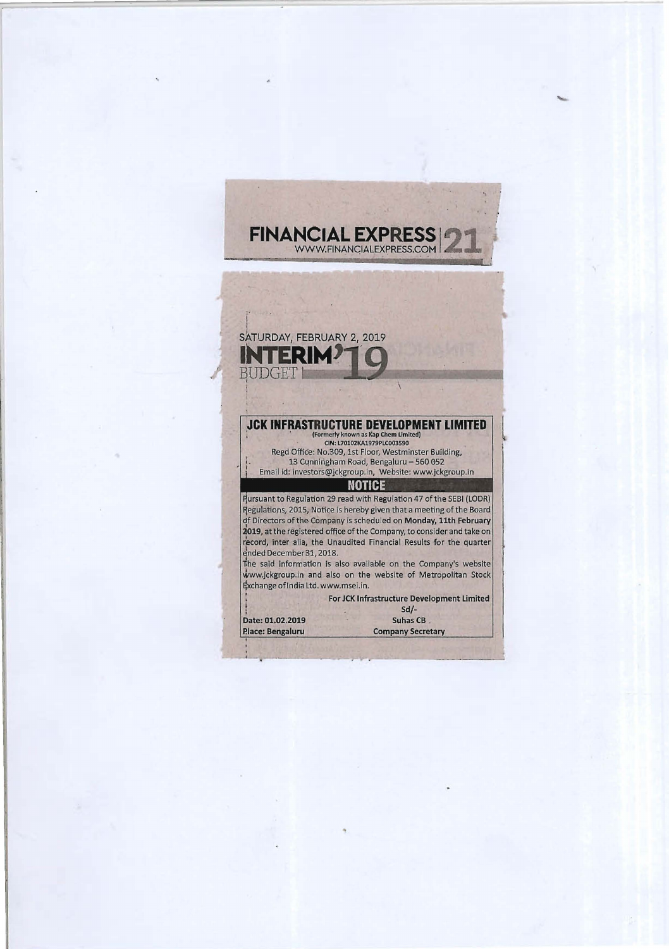

....